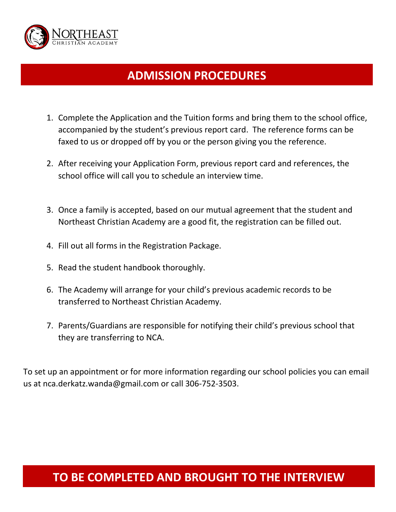

# **ADMISSION PROCEDURES**

- 1. Complete the Application and the Tuition forms and bring them to the school office, accompanied by the student's previous report card. The reference forms can be faxed to us or dropped off by you or the person giving you the reference.
- 2. After receiving your Application Form, previous report card and references, the school office will call you to schedule an interview time.
- 3. Once a family is accepted, based on our mutual agreement that the student and Northeast Christian Academy are a good fit, the registration can be filled out.
- 4. Fill out all forms in the Registration Package.
- 5. Read the student handbook thoroughly.
- 6. The Academy will arrange for your child's previous academic records to be transferred to Northeast Christian Academy.
- 7. Parents/Guardians are responsible for notifying their child's previous school that they are transferring to NCA.

To set up an appointment or for more information regarding our school policies you can email us at nca.derkatz.wanda@gmail.com or call 306-752-3503.

## **TO BE COMPLETED AND BROUGHT TO THE INTERVIEW**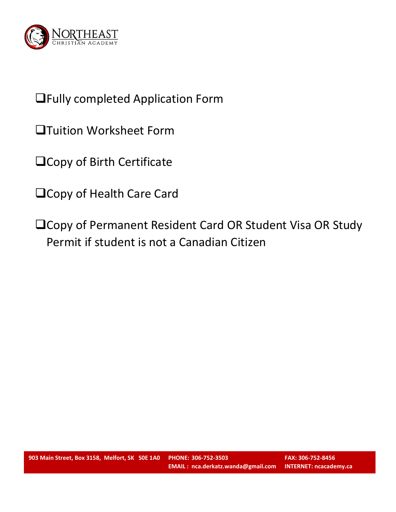

# Fully completed Application Form

- Tuition Worksheet Form
- **QCopy of Birth Certificate**
- **QCopy of Health Care Card**
- □ Copy of Permanent Resident Card OR Student Visa OR Study Permit if student is not a Canadian Citizen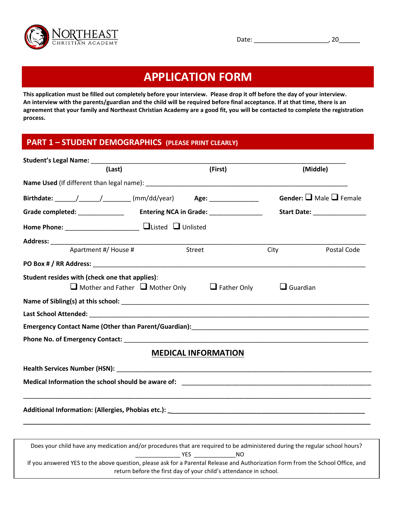

Date: \_\_\_\_\_\_\_\_\_\_\_\_\_\_\_\_\_\_\_\_\_, 20\_\_\_\_\_\_

## **APPLICATION FORM**

**This application must be filled out completely before your interview. Please drop it off before the day of your interview. An interview with the parents/guardian and the child will be required before final acceptance. If at that time, there is an agreement that your family and Northeast Christian Academy are a good fit, you will be contacted to complete the registration process.**

#### **PART 1 – STUDENT DEMOGRAPHICS (PLEASE PRINT CLEARLY)**

| Student's Legal Name: Manual Manual Manual Manual Manual Manual Manual Manual Manual Manual Manual Manual Manu              |                            |                 |                                          |
|-----------------------------------------------------------------------------------------------------------------------------|----------------------------|-----------------|------------------------------------------|
| (Last)                                                                                                                      | (First)                    |                 | (Middle)                                 |
|                                                                                                                             |                            |                 |                                          |
| Birthdate: ______/______/_________ (mm/dd/year)    Age: _________________                                                   |                            |                 | <b>Gender:</b> $\Box$ Male $\Box$ Female |
| Grade completed: _______________ Entering NCA in Grade: ________________                                                    |                            |                 | Start Date: <u>Start Date:</u>           |
|                                                                                                                             |                            |                 |                                          |
|                                                                                                                             |                            |                 |                                          |
| Apartment #/ House #                                                                                                        | Street                     | City            | Postal Code                              |
|                                                                                                                             |                            |                 |                                          |
| Student resides with (check one that applies):<br>$\Box$ Mother and Father $\Box$ Mother Only $\Box$ Father Only            |                            | $\Box$ Guardian |                                          |
|                                                                                                                             |                            |                 |                                          |
|                                                                                                                             |                            |                 |                                          |
|                                                                                                                             |                            |                 |                                          |
| Phone No. of Emergency Contact: New York and Service Contact and Service Contact of the Contact of The Contact              |                            |                 |                                          |
|                                                                                                                             | <b>MEDICAL INFORMATION</b> |                 |                                          |
|                                                                                                                             |                            |                 |                                          |
|                                                                                                                             |                            |                 |                                          |
|                                                                                                                             |                            |                 |                                          |
|                                                                                                                             |                            |                 |                                          |
|                                                                                                                             |                            |                 |                                          |
| Does your child have any medication and/or procedures that are required to be administered during the regular school hours? | YES.<br>NO.                |                 |                                          |

If you answered YES to the above question, please ask for a Parental Release and Authorization Form from the School Office, and return before the first day of your child's attendance in school.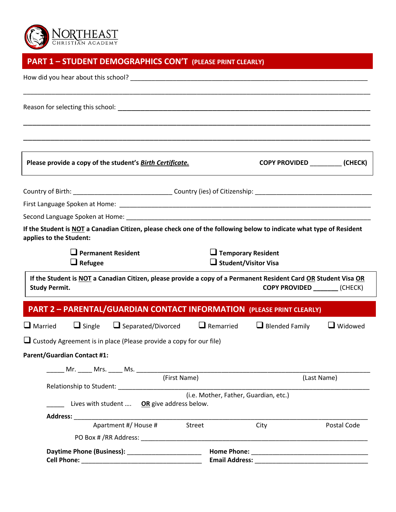

## **PART 1 – STUDENT DEMOGRAPHICS CON'T (PLEASE PRINT CLEARLY)**

| How did you hear about this school? The contract of the contract of the contract of the contract of the contract of the contract of the contract of the contract of the contract of the contract of the contract of the contra |              |                                                          |                                 |  |
|--------------------------------------------------------------------------------------------------------------------------------------------------------------------------------------------------------------------------------|--------------|----------------------------------------------------------|---------------------------------|--|
|                                                                                                                                                                                                                                |              |                                                          |                                 |  |
| Please provide a copy of the student's Birth Certificate.                                                                                                                                                                      |              |                                                          | COPY PROVIDED (CHECK)           |  |
|                                                                                                                                                                                                                                |              |                                                          |                                 |  |
|                                                                                                                                                                                                                                |              |                                                          |                                 |  |
|                                                                                                                                                                                                                                |              |                                                          |                                 |  |
| If the Student is NOT a Canadian Citizen, please check one of the following below to indicate what type of Resident<br>applies to the Student:                                                                                 |              |                                                          |                                 |  |
| $\Box$ Permanent Resident<br>$\Box$ Refugee                                                                                                                                                                                    |              | $\Box$ Temporary Resident<br>$\Box$ Student/Visitor Visa |                                 |  |
| If the Student is NOT a Canadian Citizen, please provide a copy of a Permanent Resident Card OR Student Visa OR<br><b>Study Permit.</b>                                                                                        |              |                                                          | COPY PROVIDED _________ (CHECK) |  |
| <b>PART 2 - PARENTAL/GUARDIAN CONTACT INFORMATION (PLEASE PRINT CLEARLY)</b>                                                                                                                                                   |              |                                                          |                                 |  |
| $\Box$ Married<br>$\Box$ Single $\Box$ Separated/Divorced                                                                                                                                                                      |              | $\Box$ Remarried $\Box$ Blended Family                   | $\Box$ Widowed                  |  |
| $\Box$ Custody Agreement is in place (Please provide a copy for our file)                                                                                                                                                      |              |                                                          |                                 |  |
| <b>Parent/Guardian Contact #1:</b>                                                                                                                                                                                             |              |                                                          |                                 |  |
|                                                                                                                                                                                                                                |              |                                                          |                                 |  |
|                                                                                                                                                                                                                                | (First Name) |                                                          | (Last Name)                     |  |
|                                                                                                                                                                                                                                |              |                                                          |                                 |  |
| (i.e. Mother, Father, Guardian, etc.)<br>Lives with student  OR give address below.                                                                                                                                            |              |                                                          |                                 |  |
|                                                                                                                                                                                                                                |              |                                                          |                                 |  |
| Apartment #/ House #                                                                                                                                                                                                           | Street       | City                                                     | Postal Code                     |  |
|                                                                                                                                                                                                                                |              |                                                          |                                 |  |
|                                                                                                                                                                                                                                |              |                                                          |                                 |  |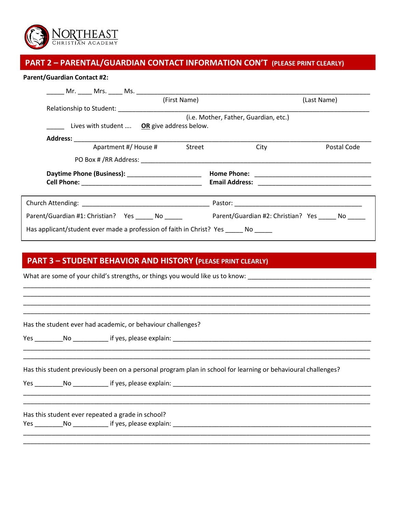

### **PART 2 – PARENTAL/GUARDIAN CONTACT INFORMATION CON'T (PLEASE PRINT CLEARLY)**

#### **Parent/Guardian Contact #2:**

| (First Name)                                                            | (Last Name)                           |
|-------------------------------------------------------------------------|---------------------------------------|
|                                                                         |                                       |
| Lives with student <b>OR</b> give address below.                        | (i.e. Mother, Father, Guardian, etc.) |
|                                                                         |                                       |
| Apartment #/ House # Street                                             | City<br>Postal Code                   |
|                                                                         |                                       |
| Daytime Phone (Business): ________________________                      |                                       |
|                                                                         |                                       |
| Parent/Guardian #1: Christian? Yes No                                   | Parent/Guardian #2: Christian? Yes No |
| Has applicant/student ever made a profession of faith in Christ? Yes No |                                       |

\_\_\_\_\_\_\_\_\_\_\_\_\_\_\_\_\_\_\_\_\_\_\_\_\_\_\_\_\_\_\_\_\_\_\_\_\_\_\_\_\_\_\_\_\_\_\_\_\_\_\_\_\_\_\_\_\_\_\_\_\_\_\_\_\_\_\_\_\_\_\_\_\_\_\_\_\_\_\_\_\_\_\_\_\_\_\_\_\_\_\_\_\_\_\_\_\_\_ \_\_\_\_\_\_\_\_\_\_\_\_\_\_\_\_\_\_\_\_\_\_\_\_\_\_\_\_\_\_\_\_\_\_\_\_\_\_\_\_\_\_\_\_\_\_\_\_\_\_\_\_\_\_\_\_\_\_\_\_\_\_\_\_\_\_\_\_\_\_\_\_\_\_\_\_\_\_\_\_\_\_\_\_\_\_\_\_\_\_\_\_\_\_\_\_\_\_ \_\_\_\_\_\_\_\_\_\_\_\_\_\_\_\_\_\_\_\_\_\_\_\_\_\_\_\_\_\_\_\_\_\_\_\_\_\_\_\_\_\_\_\_\_\_\_\_\_\_\_\_\_\_\_\_\_\_\_\_\_\_\_\_\_\_\_\_\_\_\_\_\_\_\_\_\_\_\_\_\_\_\_\_\_\_\_\_\_\_\_\_\_\_\_\_\_\_ \_\_\_\_\_\_\_\_\_\_\_\_\_\_\_\_\_\_\_\_\_\_\_\_\_\_\_\_\_\_\_\_\_\_\_\_\_\_\_\_\_\_\_\_\_\_\_\_\_\_\_\_\_\_\_\_\_\_\_\_\_\_\_\_\_\_\_\_\_\_\_\_\_\_\_\_\_\_\_\_\_\_\_\_\_\_\_\_\_\_\_\_\_\_\_\_\_\_

\_\_\_\_\_\_\_\_\_\_\_\_\_\_\_\_\_\_\_\_\_\_\_\_\_\_\_\_\_\_\_\_\_\_\_\_\_\_\_\_\_\_\_\_\_\_\_\_\_\_\_\_\_\_\_\_\_\_\_\_\_\_\_\_\_\_\_\_\_\_\_\_\_\_\_\_\_\_\_\_\_\_\_\_\_\_\_\_\_\_\_\_\_\_\_\_\_\_ \_\_\_\_\_\_\_\_\_\_\_\_\_\_\_\_\_\_\_\_\_\_\_\_\_\_\_\_\_\_\_\_\_\_\_\_\_\_\_\_\_\_\_\_\_\_\_\_\_\_\_\_\_\_\_\_\_\_\_\_\_\_\_\_\_\_\_\_\_\_\_\_\_\_\_\_\_\_\_\_\_\_\_\_\_\_\_\_\_\_\_\_\_\_\_\_\_\_

\_\_\_\_\_\_\_\_\_\_\_\_\_\_\_\_\_\_\_\_\_\_\_\_\_\_\_\_\_\_\_\_\_\_\_\_\_\_\_\_\_\_\_\_\_\_\_\_\_\_\_\_\_\_\_\_\_\_\_\_\_\_\_\_\_\_\_\_\_\_\_\_\_\_\_\_\_\_\_\_\_\_\_\_\_\_\_\_\_\_\_\_\_\_\_\_\_\_ \_\_\_\_\_\_\_\_\_\_\_\_\_\_\_\_\_\_\_\_\_\_\_\_\_\_\_\_\_\_\_\_\_\_\_\_\_\_\_\_\_\_\_\_\_\_\_\_\_\_\_\_\_\_\_\_\_\_\_\_\_\_\_\_\_\_\_\_\_\_\_\_\_\_\_\_\_\_\_\_\_\_\_\_\_\_\_\_\_\_\_\_\_\_\_\_\_\_

\_\_\_\_\_\_\_\_\_\_\_\_\_\_\_\_\_\_\_\_\_\_\_\_\_\_\_\_\_\_\_\_\_\_\_\_\_\_\_\_\_\_\_\_\_\_\_\_\_\_\_\_\_\_\_\_\_\_\_\_\_\_\_\_\_\_\_\_\_\_\_\_\_\_\_\_\_\_\_\_\_\_\_\_\_\_\_\_\_\_\_\_\_\_\_\_\_\_

### **PART 3 – STUDENT BEHAVIOR AND HISTORY (PLEASE PRINT CLEARLY)**

What are some of your child's strengths, or things you would like us to know: \_\_\_\_\_\_\_\_\_\_\_\_\_\_\_\_\_\_\_\_\_\_\_\_\_\_\_\_\_\_\_\_

Has the student ever had academic, or behaviour challenges?

Yes No Filly yes, please explain:  $\frac{1}{2}$  and  $\frac{1}{2}$  and  $\frac{1}{2}$  and  $\frac{1}{2}$  and  $\frac{1}{2}$  and  $\frac{1}{2}$  and  $\frac{1}{2}$  and  $\frac{1}{2}$  and  $\frac{1}{2}$  and  $\frac{1}{2}$  and  $\frac{1}{2}$  and  $\frac{1}{2}$  and  $\frac{1}{2}$  and  $\frac{1}{$ 

Has this student previously been on a personal program plan in school for learning or behavioural challenges?

Yes \_\_\_\_\_\_\_\_No \_\_\_\_\_\_\_\_\_\_ if yes, please explain: \_\_\_\_\_\_\_\_\_\_\_\_\_\_\_\_\_\_\_\_\_\_\_\_\_\_\_\_\_\_\_\_\_\_\_\_\_\_\_\_\_\_\_\_\_\_\_\_\_\_\_\_\_\_\_\_

Has this student ever repeated a grade in school? Yes \_\_\_\_\_\_\_\_No \_\_\_\_\_\_\_\_\_\_ if yes, please explain: \_\_\_\_\_\_\_\_\_\_\_\_\_\_\_\_\_\_\_\_\_\_\_\_\_\_\_\_\_\_\_\_\_\_\_\_\_\_\_\_\_\_\_\_\_\_\_\_\_\_\_\_\_\_\_\_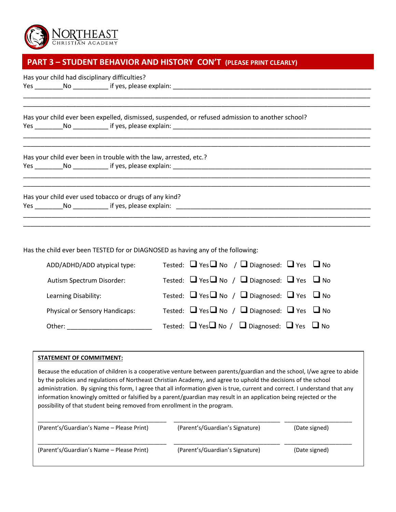

### **PART 3 – STUDENT BEHAVIOR AND HISTORY CON'T (PLEASE PRINT CLEARLY)**

Has your child had disciplinary difficulties?

Yes \_\_\_\_\_\_\_\_No \_\_\_\_\_\_\_\_\_\_ if yes, please explain: \_\_\_\_\_\_\_\_\_\_\_\_\_\_\_\_\_\_\_\_\_\_\_\_\_\_\_\_\_\_\_\_\_\_\_\_\_\_\_\_\_\_\_\_\_\_\_\_\_\_\_\_\_\_\_\_

Has your child ever been expelled, dismissed, suspended, or refused admission to another school? Yes \_\_\_\_\_\_\_\_No \_\_\_\_\_\_\_\_\_\_ if yes, please explain: \_\_\_\_\_\_\_\_\_\_\_\_\_\_\_\_\_\_\_\_\_\_\_\_\_\_\_\_\_\_\_\_\_\_\_\_\_\_\_\_\_\_\_\_\_\_\_\_\_\_\_\_\_\_\_\_

\_\_\_\_\_\_\_\_\_\_\_\_\_\_\_\_\_\_\_\_\_\_\_\_\_\_\_\_\_\_\_\_\_\_\_\_\_\_\_\_\_\_\_\_\_\_\_\_\_\_\_\_\_\_\_\_\_\_\_\_\_\_\_\_\_\_\_\_\_\_\_\_\_\_\_\_\_\_\_\_\_\_\_\_\_\_\_\_\_\_\_\_\_\_\_\_\_\_ \_\_\_\_\_\_\_\_\_\_\_\_\_\_\_\_\_\_\_\_\_\_\_\_\_\_\_\_\_\_\_\_\_\_\_\_\_\_\_\_\_\_\_\_\_\_\_\_\_\_\_\_\_\_\_\_\_\_\_\_\_\_\_\_\_\_\_\_\_\_\_\_\_\_\_\_\_\_\_\_\_\_\_\_\_\_\_\_\_\_\_\_\_\_\_\_\_\_

\_\_\_\_\_\_\_\_\_\_\_\_\_\_\_\_\_\_\_\_\_\_\_\_\_\_\_\_\_\_\_\_\_\_\_\_\_\_\_\_\_\_\_\_\_\_\_\_\_\_\_\_\_\_\_\_\_\_\_\_\_\_\_\_\_\_\_\_\_\_\_\_\_\_\_\_\_\_\_\_\_\_\_\_\_\_\_\_\_\_\_\_\_\_\_\_\_\_ \_\_\_\_\_\_\_\_\_\_\_\_\_\_\_\_\_\_\_\_\_\_\_\_\_\_\_\_\_\_\_\_\_\_\_\_\_\_\_\_\_\_\_\_\_\_\_\_\_\_\_\_\_\_\_\_\_\_\_\_\_\_\_\_\_\_\_\_\_\_\_\_\_\_\_\_\_\_\_\_\_\_\_\_\_\_\_\_\_\_\_\_\_\_\_\_\_\_

\_\_\_\_\_\_\_\_\_\_\_\_\_\_\_\_\_\_\_\_\_\_\_\_\_\_\_\_\_\_\_\_\_\_\_\_\_\_\_\_\_\_\_\_\_\_\_\_\_\_\_\_\_\_\_\_\_\_\_\_\_\_\_\_\_\_\_\_\_\_\_\_\_\_\_\_\_\_\_\_\_\_\_\_\_\_\_\_\_\_\_\_\_\_\_\_\_\_ \_\_\_\_\_\_\_\_\_\_\_\_\_\_\_\_\_\_\_\_\_\_\_\_\_\_\_\_\_\_\_\_\_\_\_\_\_\_\_\_\_\_\_\_\_\_\_\_\_\_\_\_\_\_\_\_\_\_\_\_\_\_\_\_\_\_\_\_\_\_\_\_\_\_\_\_\_\_\_\_\_\_\_\_\_\_\_\_\_\_\_\_\_\_\_\_\_\_

\_\_\_\_\_\_\_\_\_\_\_\_\_\_\_\_\_\_\_\_\_\_\_\_\_\_\_\_\_\_\_\_\_\_\_\_\_\_\_\_\_\_\_\_\_\_\_\_\_\_\_\_\_\_\_\_\_\_\_\_\_\_\_\_\_\_\_\_\_\_\_\_\_\_\_\_\_\_\_\_\_\_\_\_\_\_\_\_\_\_\_\_\_\_\_\_\_\_ \_\_\_\_\_\_\_\_\_\_\_\_\_\_\_\_\_\_\_\_\_\_\_\_\_\_\_\_\_\_\_\_\_\_\_\_\_\_\_\_\_\_\_\_\_\_\_\_\_\_\_\_\_\_\_\_\_\_\_\_\_\_\_\_\_\_\_\_\_\_\_\_\_\_\_\_\_\_\_\_\_\_\_\_\_\_\_\_\_\_\_\_\_\_\_\_\_\_

Has your child ever been in trouble with the law, arrested, etc.? Yes \_\_\_\_\_\_\_\_No \_\_\_\_\_\_\_\_\_\_ if yes, please explain: \_\_\_\_\_\_\_\_\_\_\_\_\_\_\_\_\_\_\_\_\_\_\_\_\_\_\_\_\_\_\_\_\_\_\_\_\_\_\_\_\_\_\_\_\_\_\_\_\_\_\_\_\_\_\_\_

Has your child ever used tobacco or drugs of any kind? Yes \_\_\_\_\_\_\_\_No \_\_\_\_\_\_\_\_\_\_ if yes, please explain: \_\_\_\_\_\_\_\_\_\_\_\_\_\_\_\_\_\_\_\_\_\_\_\_\_\_\_\_\_\_\_\_\_\_\_\_\_\_\_\_\_\_\_\_\_\_\_\_\_\_\_\_\_\_\_

Has the child ever been TESTED for or DIAGNOSED as having any of the following:

| ADD/ADHD/ADD atypical type:           | Tested: $\Box$ Yes $\Box$ No / $\Box$ Diagnosed: $\Box$ Yes $\Box$ No |
|---------------------------------------|-----------------------------------------------------------------------|
| Autism Spectrum Disorder:             | Tested: $\Box$ Yes $\Box$ No / $\Box$ Diagnosed: $\Box$ Yes $\Box$ No |
| Learning Disability:                  | Tested: $\Box$ Yes $\Box$ No / $\Box$ Diagnosed: $\Box$ Yes $\Box$ No |
| <b>Physical or Sensory Handicaps:</b> | Tested: $\Box$ Yes $\Box$ No / $\Box$ Diagnosed: $\Box$ Yes $\Box$ No |
| Other:                                | Tested: $\Box$ Yes $\Box$ No / $\Box$ Diagnosed: $\Box$ Yes $\Box$ No |

#### **STATEMENT OF COMMITMENT:**

Because the education of children is a cooperative venture between parents/guardian and the school, I/we agree to abide by the policies and regulations of Northeast Christian Academy, and agree to uphold the decisions of the school administration. By signing this form, I agree that all information given is true, current and correct. I understand that any information knowingly omitted or falsified by a parent/guardian may result in an application being rejected or the possibility of that student being removed from enrollment in the program.

| (Parent's/Guardian's Name – Please Print) | (Parent's/Guardian's Signature) | (Date signed) |
|-------------------------------------------|---------------------------------|---------------|
| (Parent's/Guardian's Name - Please Print) | (Parent's/Guardian's Signature) | (Date signed) |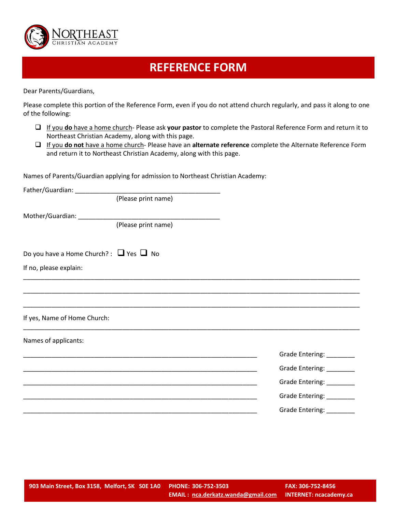

## **REFERENCE FORM**

Dear Parents/Guardians,

Please complete this portion of the Reference Form, even if you do not attend church regularly, and pass it along to one of the following:

- If you **do** have a home church- Please ask **your pastor** to complete the Pastoral Reference Form and return it to Northeast Christian Academy, along with this page.
- If you **do not** have a home church- Please have an **alternate reference** complete the Alternate Reference Form and return it to Northeast Christian Academy, along with this page.

Names of Parents/Guardian applying for admission to Northeast Christian Academy:

| Father/Guardian: _____________                    |                                                                                                                       |                           |
|---------------------------------------------------|-----------------------------------------------------------------------------------------------------------------------|---------------------------|
|                                                   | (Please print name)                                                                                                   |                           |
|                                                   |                                                                                                                       |                           |
|                                                   | (Please print name)                                                                                                   |                           |
| Do you have a Home Church? : $\Box$ Yes $\Box$ No |                                                                                                                       |                           |
| If no, please explain:                            | <u> 1980 - Johann Stoff, deutscher Stoff, der Stoff, der Stoff, der Stoff, der Stoff, der Stoff, der Stoff, der S</u> |                           |
|                                                   |                                                                                                                       |                           |
|                                                   |                                                                                                                       |                           |
| If yes, Name of Home Church:                      |                                                                                                                       |                           |
| Names of applicants:                              |                                                                                                                       |                           |
|                                                   |                                                                                                                       | Grade Entering: _________ |
|                                                   | <u> 1989 - Johann Stoff, amerikansk politiker (d. 1989)</u>                                                           | Grade Entering: _________ |
|                                                   | <u> 1989 - Johann Stoff, deutscher Stoff, der Stoff, der Stoff, der Stoff, der Stoff, der Stoff, der Stoff, der S</u> | Grade Entering: ________  |
|                                                   |                                                                                                                       | Grade Entering: ________  |
|                                                   |                                                                                                                       | Grade Entering: _________ |
|                                                   |                                                                                                                       |                           |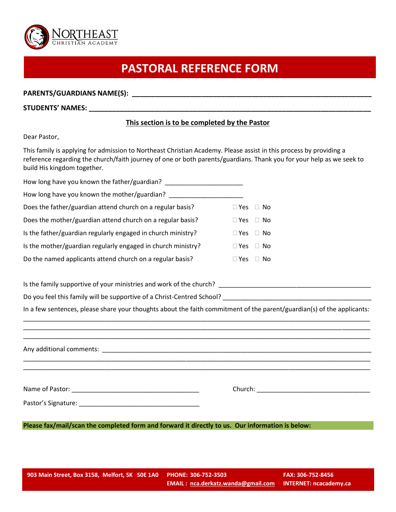

# **PASTORAL REFERENCE FORM**

#### PARENTS/GUARDIANS NAME(S): **with a set of the set of the set of the set of the set of the set of the set of the set of the set of the set of the set of the set of the set of the set of the set of the set of the set of the**

#### **STUDENTS' NAMES: \_\_\_\_\_\_\_\_\_\_\_\_\_\_\_\_\_\_\_\_\_\_\_\_\_\_\_\_\_\_\_\_\_\_\_\_\_\_\_\_\_\_\_\_\_\_\_\_\_\_\_\_\_\_\_\_\_\_\_\_\_\_\_\_\_\_\_\_\_\_\_\_\_**

#### **This section is to be completed by the Pastor**

#### Dear Pastor,

This family is applying for admission to Northeast Christian Academy. Please assist in this process by providing a reference regarding the church/faith journey of one or both parents/guardians. Thank you for your help as we seek to build His kingdom together.

| How long have you known the father/guardian?                 |               |     |
|--------------------------------------------------------------|---------------|-----|
| How long have you known the mother/guardian?                 |               |     |
| Does the father/guardian attend church on a regular basis?   | $\Box$ Yes    | No. |
| Does the mother/guardian attend church on a regular basis?   | $\Box$ Yes    | No. |
| Is the father/guardian regularly engaged in church ministry? | $\square$ Yes | No. |
| Is the mother/guardian regularly engaged in church ministry? | $\sqcap$ Yes  | No. |
| Do the named applicants attend church on a regular basis?    | Yes           | No. |

Is the family supportive of your ministries and work of the church? \_\_\_\_\_\_\_\_\_\_\_\_\_\_\_\_\_\_\_\_\_\_\_\_\_\_\_\_\_\_\_\_\_\_\_\_\_\_\_\_\_\_\_

Do you feel this family will be supportive of a Christ-Centred School? \_\_\_\_\_\_\_\_\_\_\_\_\_\_\_\_

In a few sentences, please share your thoughts about the faith commitment of the parent/guardian(s) of the applicants: \_\_\_\_\_\_\_\_\_\_\_\_\_\_\_\_\_\_\_\_\_\_\_\_\_\_\_\_\_\_\_\_\_\_\_\_\_\_\_\_\_\_\_\_\_\_\_\_\_\_\_\_\_\_\_\_\_\_\_\_\_\_\_\_\_\_\_\_\_\_\_\_\_\_\_\_\_\_\_\_\_\_\_\_\_\_\_\_\_\_\_\_\_\_\_\_\_\_

\_\_\_\_\_\_\_\_\_\_\_\_\_\_\_\_\_\_\_\_\_\_\_\_\_\_\_\_\_\_\_\_\_\_\_\_\_\_\_\_\_\_\_\_\_\_\_\_\_\_\_\_\_\_\_\_\_\_\_\_\_\_\_\_\_\_\_\_\_\_\_\_\_\_\_\_\_\_\_\_\_\_\_\_\_\_\_\_\_\_\_\_\_\_\_\_\_\_

\_\_\_\_\_\_\_\_\_\_\_\_\_\_\_\_\_\_\_\_\_\_\_\_\_\_\_\_\_\_\_\_\_\_\_\_\_\_\_\_\_\_\_\_\_\_\_\_\_\_\_\_\_\_\_\_\_\_\_\_\_\_\_\_\_\_\_\_\_\_\_\_\_\_\_\_\_\_\_\_\_\_\_\_\_\_\_\_\_\_\_\_\_\_\_\_\_\_ Any additional comments:  $\blacksquare$ \_\_\_\_\_\_\_\_\_\_\_\_\_\_\_\_\_\_\_\_\_\_\_\_\_\_\_\_\_\_\_\_\_\_\_\_\_\_\_\_\_\_\_\_\_\_\_\_\_\_\_\_\_\_\_\_\_\_\_\_\_\_\_\_\_\_\_\_\_\_\_\_\_\_\_\_\_\_\_\_\_\_\_\_\_\_\_\_\_\_\_\_\_\_\_\_\_\_ \_\_\_\_\_\_\_\_\_\_\_\_\_\_\_\_\_\_\_\_\_\_\_\_\_\_\_\_\_\_\_\_\_\_\_\_\_\_\_\_\_\_\_\_\_\_\_\_\_\_\_\_\_\_\_\_\_\_\_\_\_\_\_\_\_\_\_\_\_\_\_\_\_\_\_\_\_\_\_\_\_\_\_\_\_\_\_\_\_\_\_\_\_\_\_\_\_\_ Name of Pastor: \_\_\_\_\_\_\_\_\_\_\_\_\_\_\_\_\_\_\_\_\_\_\_\_\_\_\_\_\_\_\_\_\_\_\_\_ Church: \_\_\_\_\_\_\_\_\_\_\_\_\_\_\_\_\_\_\_\_\_\_\_\_\_\_\_\_\_\_\_\_ Pastor's Signature: \_\_\_\_\_\_\_\_\_\_\_\_\_\_\_\_\_\_\_\_\_\_\_\_\_\_\_\_\_\_\_\_\_\_

**Please fax/mail/scan the completed form and forward it directly to us. Our information is below:**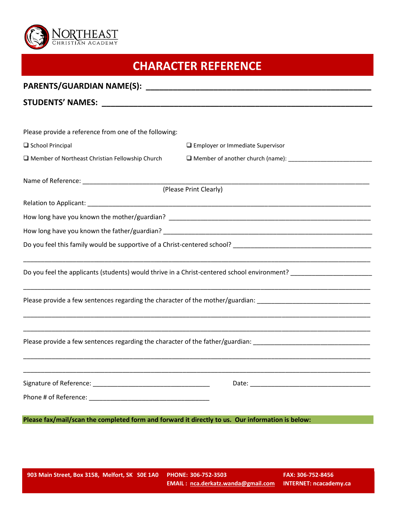

## **CHARACTER REFERENCE**

| Please provide a reference from one of the following:                                            |                                                                                                                                                                                                                                          |
|--------------------------------------------------------------------------------------------------|------------------------------------------------------------------------------------------------------------------------------------------------------------------------------------------------------------------------------------------|
| School Principal                                                                                 | $\Box$ Employer or Immediate Supervisor                                                                                                                                                                                                  |
| $\Box$ Member of Northeast Christian Fellowship Church                                           |                                                                                                                                                                                                                                          |
|                                                                                                  |                                                                                                                                                                                                                                          |
|                                                                                                  | (Please Print Clearly)                                                                                                                                                                                                                   |
|                                                                                                  |                                                                                                                                                                                                                                          |
|                                                                                                  |                                                                                                                                                                                                                                          |
|                                                                                                  |                                                                                                                                                                                                                                          |
|                                                                                                  | Do you feel this family would be supportive of a Christ-centered school?<br>Let under the same school of the supportive of a Christ-centered school?                                                                                     |
|                                                                                                  | <u> 1980 - Jan Barnett, mars ann an t-Amerikaansk ferske ferske ferske ferske ferske ferske ferske ferske ferske</u><br>Do you feel the applicants (students) would thrive in a Christ-centered school environment? ____________________ |
|                                                                                                  | Please provide a few sentences regarding the character of the mother/guardian: _______________________________                                                                                                                           |
|                                                                                                  | ,我们也不能在这里的时候,我们也不能在这里的时候,我们也不能在这里的时候,我们也不能会在这里的时候,我们也不能会在这里的时候,我们也不能会在这里的时候,我们也不能                                                                                                                                                        |
|                                                                                                  | Please provide a few sentences regarding the character of the father/guardian: _______________________________                                                                                                                           |
|                                                                                                  |                                                                                                                                                                                                                                          |
|                                                                                                  |                                                                                                                                                                                                                                          |
| Please fax/mail/scan the completed form and forward it directly to us. Our information is below: |                                                                                                                                                                                                                                          |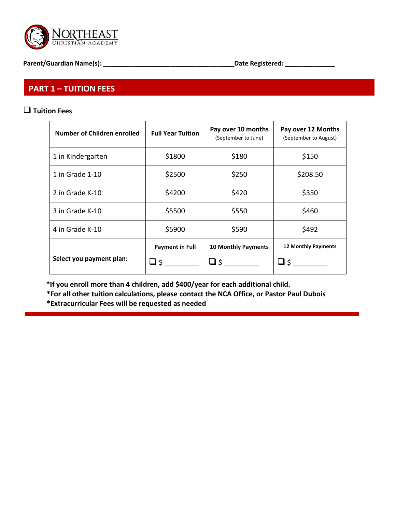

**Parent/Guardian Name(s): \_\_\_\_\_\_\_\_\_\_\_\_\_\_\_\_\_\_\_\_\_\_\_\_\_\_\_\_\_\_\_\_\_\_\_\_\_Date Registered: \_\_\_\_\_\_\_\_\_\_\_\_\_\_**

### **PART 1 – TUITION FEES**

#### **Tuition Fees**

| Number of Children enrolled | <b>Full Year Tuition</b> | Pay over 10 months<br>(September to June) | Pay over 12 Months<br>(September to August) |
|-----------------------------|--------------------------|-------------------------------------------|---------------------------------------------|
| 1 in Kindergarten           | \$1800                   | \$180                                     | \$150                                       |
| 1 in Grade 1-10             | \$2500                   | \$250                                     | \$208.50                                    |
| 2 in Grade K-10             | \$4200                   | \$420                                     | \$350                                       |
| 3 in Grade K-10             | \$5500                   | \$550                                     | \$460                                       |
| 4 in Grade K-10             | \$5900                   | \$590                                     | \$492                                       |
|                             | <b>Payment in Full</b>   | <b>10 Monthly Payments</b>                | 12 Monthly Payments                         |
| Select you payment plan:    | \$ ك                     | \$ ك                                      | \$ ك                                        |

 **\*If you enroll more than 4 children, add \$400/year for each additional child.** 

**\*For all other tuition calculations, please contact the NCA Office, or Pastor Paul Dubois \*Extracurricular Fees will be requested as needed**